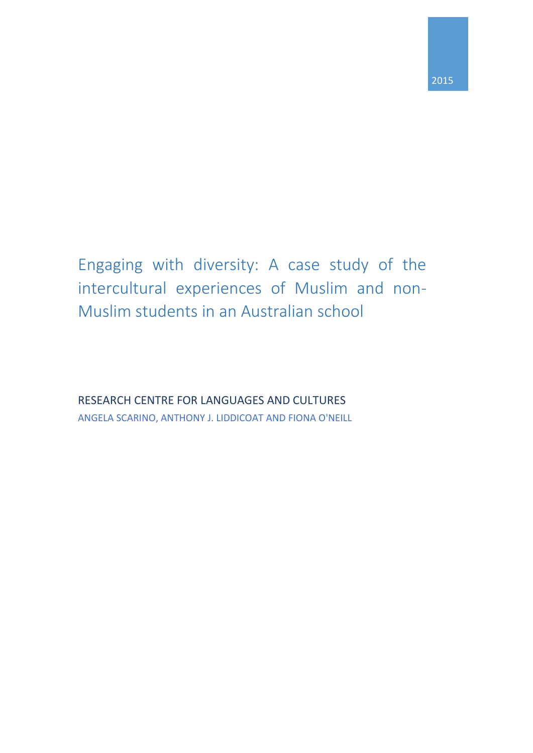Engaging with diversity: A case study of the intercultural experiences of Muslim and non-Muslim students in an Australian school

RESEARCH CENTRE FOR LANGUAGES AND CULTURES ANGELA SCARINO, ANTHONY J. LIDDICOAT AND FIONA O'NEILL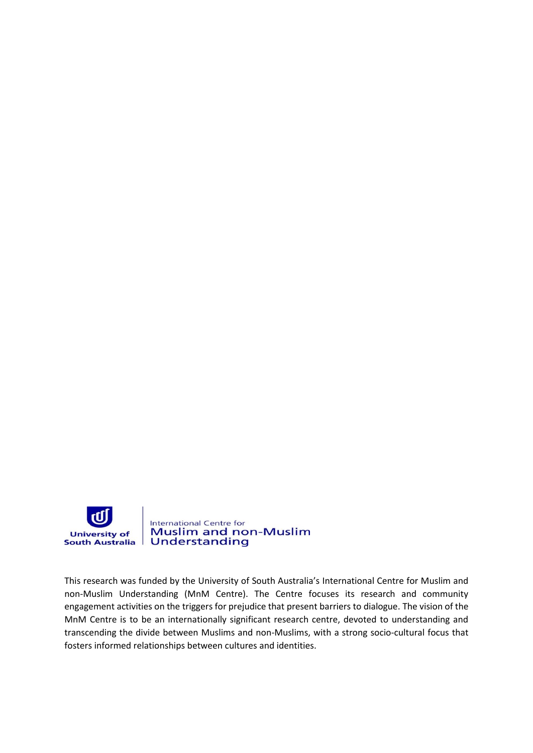

This research was funded by the University of South Australia's International Centre for Muslim and non-Muslim Understanding (MnM Centre). The Centre focuses its research and community engagement activities on the triggers for prejudice that present barriers to dialogue. The vision of the MnM Centre is to be an internationally significant research centre, devoted to understanding and transcending the divide between Muslims and non-Muslims, with a strong socio-cultural focus that fosters informed relationships between cultures and identities.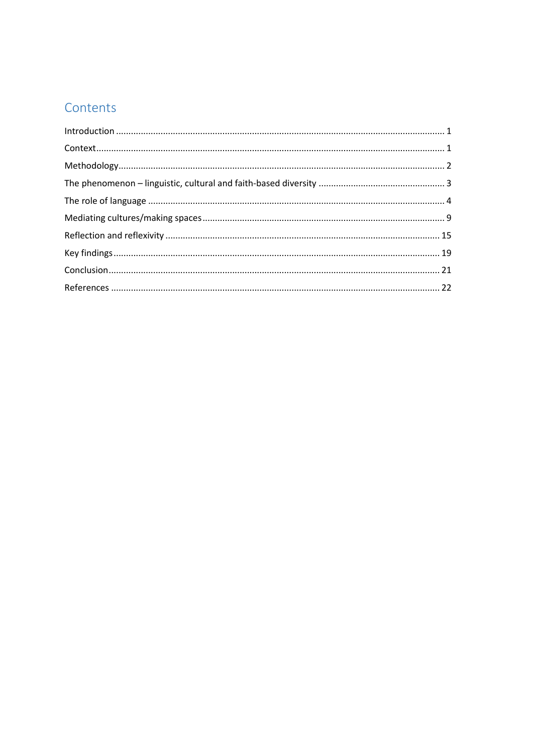## Contents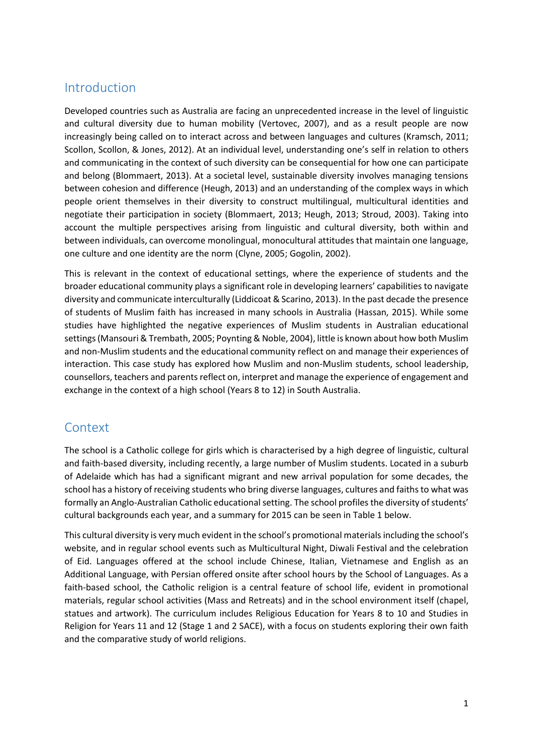#### <span id="page-4-0"></span>Introduction

Developed countries such as Australia are facing an unprecedented increase in the level of linguistic and cultural diversity due to human mobility (Vertovec, 2007), and as a result people are now increasingly being called on to interact across and between languages and cultures (Kramsch, 2011; Scollon, Scollon, & Jones, 2012). At an individual level, understanding one's self in relation to others and communicating in the context of such diversity can be consequential for how one can participate and belong (Blommaert, 2013). At a societal level, sustainable diversity involves managing tensions between cohesion and difference (Heugh, 2013) and an understanding of the complex ways in which people orient themselves in their diversity to construct multilingual, multicultural identities and negotiate their participation in society (Blommaert, 2013; Heugh, 2013; Stroud, 2003). Taking into account the multiple perspectives arising from linguistic and cultural diversity, both within and between individuals, can overcome monolingual, monocultural attitudes that maintain one language, one culture and one identity are the norm (Clyne, 2005; Gogolin, 2002).

This is relevant in the context of educational settings, where the experience of students and the broader educational community plays a significant role in developing learners' capabilities to navigate diversity and communicate interculturally (Liddicoat & Scarino, 2013). In the past decade the presence of students of Muslim faith has increased in many schools in Australia (Hassan, 2015). While some studies have highlighted the negative experiences of Muslim students in Australian educational settings (Mansouri & Trembath, 2005; Poynting & Noble, 2004), little is known about how both Muslim and non-Muslim students and the educational community reflect on and manage their experiences of interaction. This case study has explored how Muslim and non-Muslim students, school leadership, counsellors, teachers and parents reflect on, interpret and manage the experience of engagement and exchange in the context of a high school (Years 8 to 12) in South Australia.

### <span id="page-4-1"></span>**Context**

The school is a Catholic college for girls which is characterised by a high degree of linguistic, cultural and faith-based diversity, including recently, a large number of Muslim students. Located in a suburb of Adelaide which has had a significant migrant and new arrival population for some decades, the school has a history of receiving students who bring diverse languages, cultures and faiths to what was formally an Anglo-Australian Catholic educational setting. The school profiles the diversity of students' cultural backgrounds each year, and a summary for 2015 can be seen in Table 1 below.

This cultural diversity is very much evident in the school's promotional materials including the school's website, and in regular school events such as Multicultural Night, Diwali Festival and the celebration of Eid. Languages offered at the school include Chinese, Italian, Vietnamese and English as an Additional Language, with Persian offered onsite after school hours by the School of Languages. As a faith-based school, the Catholic religion is a central feature of school life, evident in promotional materials, regular school activities (Mass and Retreats) and in the school environment itself (chapel, statues and artwork). The curriculum includes Religious Education for Years 8 to 10 and Studies in Religion for Years 11 and 12 (Stage 1 and 2 SACE), with a focus on students exploring their own faith and the comparative study of world religions.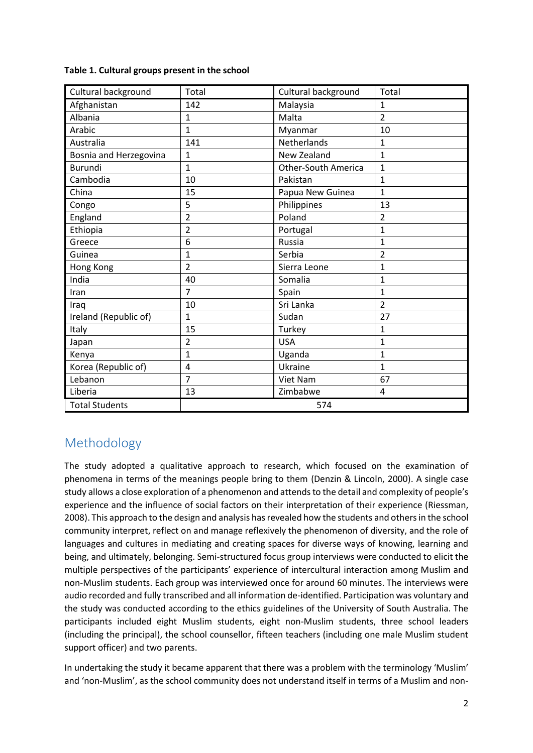| Table 1. Cultural groups present in the school |  |
|------------------------------------------------|--|
|------------------------------------------------|--|

| Cultural background    | Total          | Cultural background        | Total          |
|------------------------|----------------|----------------------------|----------------|
| Afghanistan            | 142            | Malaysia                   | 1              |
| Albania                | 1              | Malta                      | $\overline{2}$ |
| Arabic                 | $\mathbf{1}$   | Myanmar                    | 10             |
| Australia              | 141            | Netherlands                | 1              |
| Bosnia and Herzegovina | 1              | New Zealand                | 1              |
| <b>Burundi</b>         | $\mathbf{1}$   | <b>Other-South America</b> | 1              |
| Cambodia               | 10             | Pakistan                   | 1              |
| China                  | 15             | Papua New Guinea           | 1              |
| Congo                  | 5              | Philippines                | 13             |
| England                | $\overline{2}$ | Poland                     | 2              |
| Ethiopia               | $\overline{2}$ | Portugal                   | 1              |
| Greece                 | 6              | Russia                     | 1              |
| Guinea                 | 1              | Serbia                     | 2              |
| Hong Kong              | $\overline{2}$ | Sierra Leone               | 1              |
| India                  | 40             | Somalia                    | 1              |
| Iran                   | 7              | Spain                      | 1              |
| Iraq                   | 10             | Sri Lanka                  | $\overline{2}$ |
| Ireland (Republic of)  | $\mathbf{1}$   | Sudan                      | 27             |
| Italy                  | 15             | Turkey                     | 1              |
| Japan                  | 2              | <b>USA</b>                 | 1              |
| Kenya                  | $\mathbf{1}$   | Uganda                     | 1              |
| Korea (Republic of)    | 4              | Ukraine                    | 1              |
| Lebanon                | $\overline{7}$ | Viet Nam                   | 67             |
| Liberia                | 13             | Zimbabwe                   | 4              |
| <b>Total Students</b>  |                | 574                        |                |

# <span id="page-5-0"></span>Methodology

The study adopted a qualitative approach to research, which focused on the examination of phenomena in terms of the meanings people bring to them (Denzin & Lincoln, 2000). A single case study allows a close exploration of a phenomenon and attends to the detail and complexity of people's experience and the influence of social factors on their interpretation of their experience (Riessman, 2008). This approach to the design and analysis has revealed how the students and others in the school community interpret, reflect on and manage reflexively the phenomenon of diversity, and the role of languages and cultures in mediating and creating spaces for diverse ways of knowing, learning and being, and ultimately, belonging. Semi-structured focus group interviews were conducted to elicit the multiple perspectives of the participants' experience of intercultural interaction among Muslim and non-Muslim students. Each group was interviewed once for around 60 minutes. The interviews were audio recorded and fully transcribed and all information de-identified. Participation was voluntary and the study was conducted according to the ethics guidelines of the University of South Australia. The participants included eight Muslim students, eight non-Muslim students, three school leaders (including the principal), the school counsellor, fifteen teachers (including one male Muslim student support officer) and two parents.

In undertaking the study it became apparent that there was a problem with the terminology 'Muslim' and 'non-Muslim', as the school community does not understand itself in terms of a Muslim and non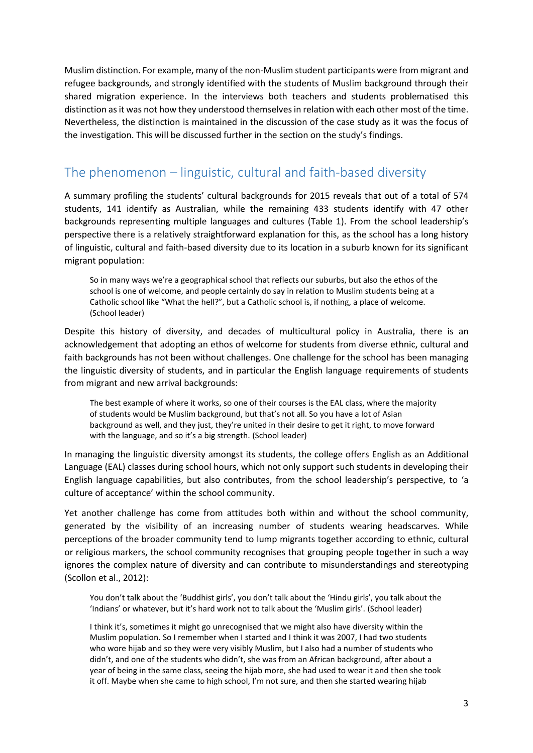Muslim distinction. For example, many of the non-Muslim student participants were from migrant and refugee backgrounds, and strongly identified with the students of Muslim background through their shared migration experience. In the interviews both teachers and students problematised this distinction as it was not how they understood themselves in relation with each other most of the time. Nevertheless, the distinction is maintained in the discussion of the case study as it was the focus of the investigation. This will be discussed further in the section on the study's findings.

## <span id="page-6-0"></span>The phenomenon – linguistic, cultural and faith-based diversity

A summary profiling the students' cultural backgrounds for 2015 reveals that out of a total of 574 students, 141 identify as Australian, while the remaining 433 students identify with 47 other backgrounds representing multiple languages and cultures (Table 1). From the school leadership's perspective there is a relatively straightforward explanation for this, as the school has a long history of linguistic, cultural and faith-based diversity due to its location in a suburb known for its significant migrant population:

So in many ways we're a geographical school that reflects our suburbs, but also the ethos of the school is one of welcome, and people certainly do say in relation to Muslim students being at a Catholic school like "What the hell?", but a Catholic school is, if nothing, a place of welcome. (School leader)

Despite this history of diversity, and decades of multicultural policy in Australia, there is an acknowledgement that adopting an ethos of welcome for students from diverse ethnic, cultural and faith backgrounds has not been without challenges. One challenge for the school has been managing the linguistic diversity of students, and in particular the English language requirements of students from migrant and new arrival backgrounds:

The best example of where it works, so one of their courses is the EAL class, where the majority of students would be Muslim background, but that's not all. So you have a lot of Asian background as well, and they just, they're united in their desire to get it right, to move forward with the language, and so it's a big strength. (School leader)

In managing the linguistic diversity amongst its students, the college offers English as an Additional Language (EAL) classes during school hours, which not only support such students in developing their English language capabilities, but also contributes, from the school leadership's perspective, to 'a culture of acceptance' within the school community.

Yet another challenge has come from attitudes both within and without the school community, generated by the visibility of an increasing number of students wearing headscarves. While perceptions of the broader community tend to lump migrants together according to ethnic, cultural or religious markers, the school community recognises that grouping people together in such a way ignores the complex nature of diversity and can contribute to misunderstandings and stereotyping (Scollon et al., 2012):

You don't talk about the 'Buddhist girls', you don't talk about the 'Hindu girls', you talk about the 'Indians' or whatever, but it's hard work not to talk about the 'Muslim girls'. (School leader)

I think it's, sometimes it might go unrecognised that we might also have diversity within the Muslim population. So I remember when I started and I think it was 2007, I had two students who wore hijab and so they were very visibly Muslim, but I also had a number of students who didn't, and one of the students who didn't, she was from an African background, after about a year of being in the same class, seeing the hijab more, she had used to wear it and then she took it off. Maybe when she came to high school, I'm not sure, and then she started wearing hijab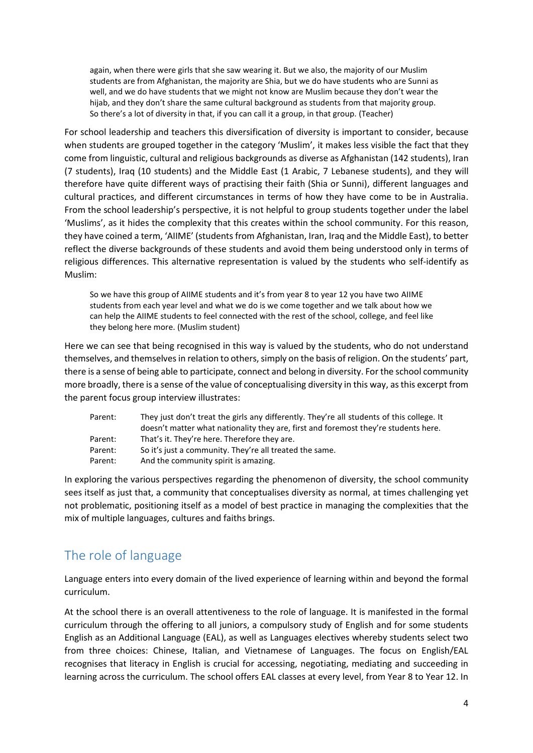again, when there were girls that she saw wearing it. But we also, the majority of our Muslim students are from Afghanistan, the majority are Shia, but we do have students who are Sunni as well, and we do have students that we might not know are Muslim because they don't wear the hijab, and they don't share the same cultural background as students from that majority group. So there's a lot of diversity in that, if you can call it a group, in that group. (Teacher)

For school leadership and teachers this diversification of diversity is important to consider, because when students are grouped together in the category 'Muslim', it makes less visible the fact that they come from linguistic, cultural and religious backgrounds as diverse as Afghanistan (142 students), Iran (7 students), Iraq (10 students) and the Middle East (1 Arabic, 7 Lebanese students), and they will therefore have quite different ways of practising their faith (Shia or Sunni), different languages and cultural practices, and different circumstances in terms of how they have come to be in Australia. From the school leadership's perspective, it is not helpful to group students together under the label 'Muslims', as it hides the complexity that this creates within the school community. For this reason, they have coined a term, 'AIIME' (students from Afghanistan, Iran, Iraq and the Middle East), to better reflect the diverse backgrounds of these students and avoid them being understood only in terms of religious differences. This alternative representation is valued by the students who self-identify as Muslim:

So we have this group of AIIME students and it's from year 8 to year 12 you have two AIIME students from each year level and what we do is we come together and we talk about how we can help the AIIME students to feel connected with the rest of the school, college, and feel like they belong here more. (Muslim student)

Here we can see that being recognised in this way is valued by the students, who do not understand themselves, and themselves in relation to others, simply on the basis of religion. On the students' part, there is a sense of being able to participate, connect and belong in diversity. For the school community more broadly, there is a sense of the value of conceptualising diversity in this way, as this excerpt from the parent focus group interview illustrates:

| Parent: | They just don't treat the girls any differently. They're all students of this college. It |
|---------|-------------------------------------------------------------------------------------------|
|         | doesn't matter what nationality they are, first and foremost they're students here.       |
| Parent: | That's it. They're here. Therefore they are.                                              |
| Parent: | So it's just a community. They're all treated the same.                                   |
| Parent: | And the community spirit is amazing.                                                      |
|         |                                                                                           |

In exploring the various perspectives regarding the phenomenon of diversity, the school community sees itself as just that, a community that conceptualises diversity as normal, at times challenging yet not problematic, positioning itself as a model of best practice in managing the complexities that the mix of multiple languages, cultures and faiths brings.

# <span id="page-7-0"></span>The role of language

Language enters into every domain of the lived experience of learning within and beyond the formal curriculum.

At the school there is an overall attentiveness to the role of language. It is manifested in the formal curriculum through the offering to all juniors, a compulsory study of English and for some students English as an Additional Language (EAL), as well as Languages electives whereby students select two from three choices: Chinese, Italian, and Vietnamese of Languages. The focus on English/EAL recognises that literacy in English is crucial for accessing, negotiating, mediating and succeeding in learning across the curriculum. The school offers EAL classes at every level, from Year 8 to Year 12. In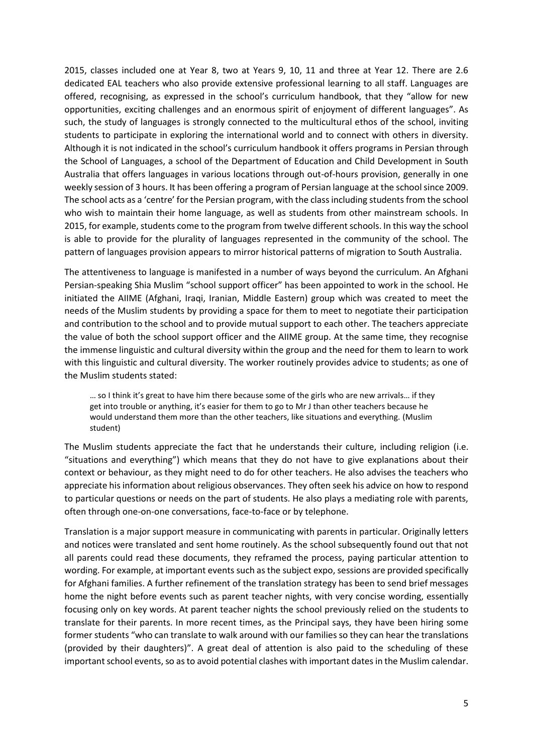2015, classes included one at Year 8, two at Years 9, 10, 11 and three at Year 12. There are 2.6 dedicated EAL teachers who also provide extensive professional learning to all staff. Languages are offered, recognising, as expressed in the school's curriculum handbook, that they "allow for new opportunities, exciting challenges and an enormous spirit of enjoyment of different languages". As such, the study of languages is strongly connected to the multicultural ethos of the school, inviting students to participate in exploring the international world and to connect with others in diversity. Although it is not indicated in the school's curriculum handbook it offers programs in Persian through the School of Languages, a school of the Department of Education and Child Development in South Australia that offers languages in various locations through out-of-hours provision, generally in one weekly session of 3 hours. It has been offering a program of Persian language at the school since 2009. The school acts as a 'centre' for the Persian program, with the class including students from the school who wish to maintain their home language, as well as students from other mainstream schools. In 2015, for example, students come to the program from twelve different schools. In this way the school is able to provide for the plurality of languages represented in the community of the school. The pattern of languages provision appears to mirror historical patterns of migration to South Australia.

The attentiveness to language is manifested in a number of ways beyond the curriculum. An Afghani Persian-speaking Shia Muslim "school support officer" has been appointed to work in the school. He initiated the AIIME (Afghani, Iraqi, Iranian, Middle Eastern) group which was created to meet the needs of the Muslim students by providing a space for them to meet to negotiate their participation and contribution to the school and to provide mutual support to each other. The teachers appreciate the value of both the school support officer and the AIIME group. At the same time, they recognise the immense linguistic and cultural diversity within the group and the need for them to learn to work with this linguistic and cultural diversity. The worker routinely provides advice to students; as one of the Muslim students stated:

… so I think it's great to have him there because some of the girls who are new arrivals… if they get into trouble or anything, it's easier for them to go to Mr J than other teachers because he would understand them more than the other teachers, like situations and everything. (Muslim student)

The Muslim students appreciate the fact that he understands their culture, including religion (i.e. "situations and everything") which means that they do not have to give explanations about their context or behaviour, as they might need to do for other teachers. He also advises the teachers who appreciate his information about religious observances. They often seek his advice on how to respond to particular questions or needs on the part of students. He also plays a mediating role with parents, often through one-on-one conversations, face-to-face or by telephone.

Translation is a major support measure in communicating with parents in particular. Originally letters and notices were translated and sent home routinely. As the school subsequently found out that not all parents could read these documents, they reframed the process, paying particular attention to wording. For example, at important events such as the subject expo, sessions are provided specifically for Afghani families. A further refinement of the translation strategy has been to send brief messages home the night before events such as parent teacher nights, with very concise wording, essentially focusing only on key words. At parent teacher nights the school previously relied on the students to translate for their parents. In more recent times, as the Principal says, they have been hiring some former students "who can translate to walk around with our families so they can hear the translations (provided by their daughters)". A great deal of attention is also paid to the scheduling of these important school events, so as to avoid potential clashes with important dates in the Muslim calendar.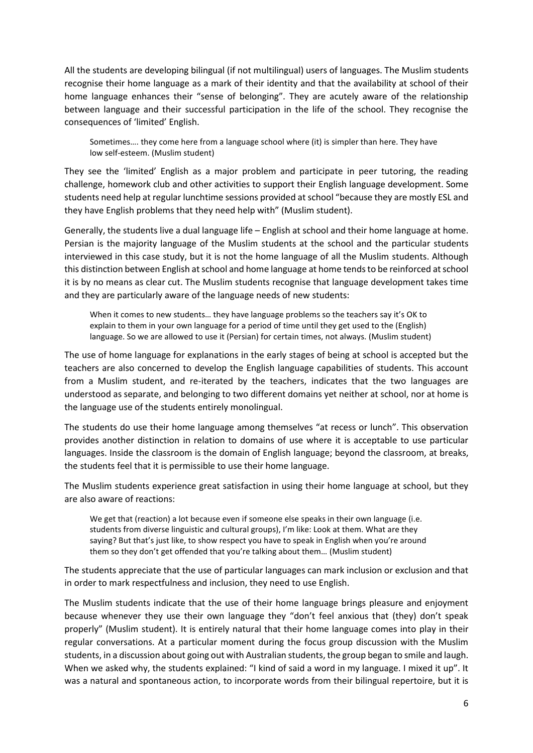All the students are developing bilingual (if not multilingual) users of languages. The Muslim students recognise their home language as a mark of their identity and that the availability at school of their home language enhances their "sense of belonging". They are acutely aware of the relationship between language and their successful participation in the life of the school. They recognise the consequences of 'limited' English.

Sometimes…. they come here from a language school where (it) is simpler than here. They have low self-esteem. (Muslim student)

They see the 'limited' English as a major problem and participate in peer tutoring, the reading challenge, homework club and other activities to support their English language development. Some students need help at regular lunchtime sessions provided at school "because they are mostly ESL and they have English problems that they need help with" (Muslim student).

Generally, the students live a dual language life – English at school and their home language at home. Persian is the majority language of the Muslim students at the school and the particular students interviewed in this case study, but it is not the home language of all the Muslim students. Although this distinction between English at school and home language at home tends to be reinforced at school it is by no means as clear cut. The Muslim students recognise that language development takes time and they are particularly aware of the language needs of new students:

When it comes to new students… they have language problems so the teachers say it's OK to explain to them in your own language for a period of time until they get used to the (English) language. So we are allowed to use it (Persian) for certain times, not always. (Muslim student)

The use of home language for explanations in the early stages of being at school is accepted but the teachers are also concerned to develop the English language capabilities of students. This account from a Muslim student, and re-iterated by the teachers, indicates that the two languages are understood as separate, and belonging to two different domains yet neither at school, nor at home is the language use of the students entirely monolingual.

The students do use their home language among themselves "at recess or lunch". This observation provides another distinction in relation to domains of use where it is acceptable to use particular languages. Inside the classroom is the domain of English language; beyond the classroom, at breaks, the students feel that it is permissible to use their home language.

The Muslim students experience great satisfaction in using their home language at school, but they are also aware of reactions:

We get that (reaction) a lot because even if someone else speaks in their own language (i.e. students from diverse linguistic and cultural groups), I'm like: Look at them. What are they saying? But that's just like, to show respect you have to speak in English when you're around them so they don't get offended that you're talking about them… (Muslim student)

The students appreciate that the use of particular languages can mark inclusion or exclusion and that in order to mark respectfulness and inclusion, they need to use English.

The Muslim students indicate that the use of their home language brings pleasure and enjoyment because whenever they use their own language they "don't feel anxious that (they) don't speak properly" (Muslim student). It is entirely natural that their home language comes into play in their regular conversations. At a particular moment during the focus group discussion with the Muslim students, in a discussion about going out with Australian students, the group began to smile and laugh. When we asked why, the students explained: "I kind of said a word in my language. I mixed it up". It was a natural and spontaneous action, to incorporate words from their bilingual repertoire, but it is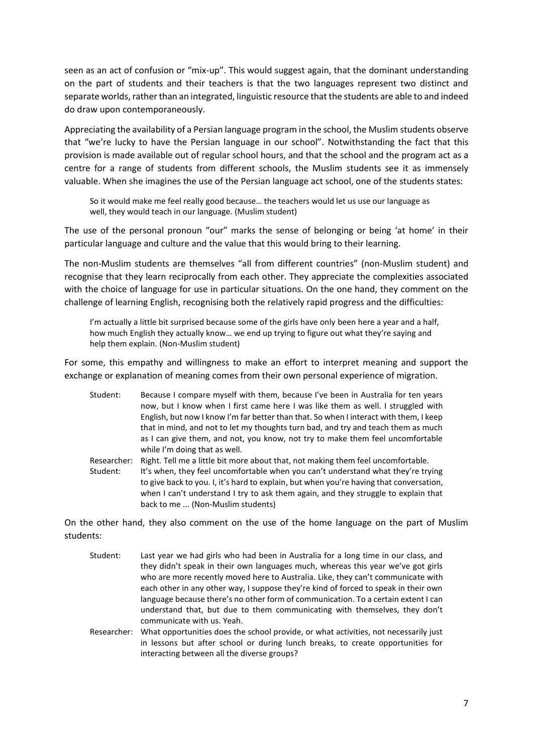seen as an act of confusion or "mix-up". This would suggest again, that the dominant understanding on the part of students and their teachers is that the two languages represent two distinct and separate worlds, rather than an integrated, linguistic resource that the students are able to and indeed do draw upon contemporaneously.

Appreciating the availability of a Persian language program in the school, the Muslim students observe that "we're lucky to have the Persian language in our school". Notwithstanding the fact that this provision is made available out of regular school hours, and that the school and the program act as a centre for a range of students from different schools, the Muslim students see it as immensely valuable. When she imagines the use of the Persian language act school, one of the students states:

So it would make me feel really good because… the teachers would let us use our language as well, they would teach in our language. (Muslim student)

The use of the personal pronoun "our" marks the sense of belonging or being 'at home' in their particular language and culture and the value that this would bring to their learning.

The non-Muslim students are themselves "all from different countries" (non-Muslim student) and recognise that they learn reciprocally from each other. They appreciate the complexities associated with the choice of language for use in particular situations. On the one hand, they comment on the challenge of learning English, recognising both the relatively rapid progress and the difficulties:

I'm actually a little bit surprised because some of the girls have only been here a year and a half, how much English they actually know… we end up trying to figure out what they're saying and help them explain. (Non-Muslim student)

For some, this empathy and willingness to make an effort to interpret meaning and support the exchange or explanation of meaning comes from their own personal experience of migration.

- Student: Because I compare myself with them, because I've been in Australia for ten years now, but I know when I first came here I was like them as well. I struggled with English, but now I know I'm far better than that. So when I interact with them, I keep that in mind, and not to let my thoughts turn bad, and try and teach them as much as I can give them, and not, you know, not try to make them feel uncomfortable while I'm doing that as well.
- Researcher: Right. Tell me a little bit more about that, not making them feel uncomfortable. Student: It's when, they feel uncomfortable when you can't understand what they're trying to give back to you. I, it's hard to explain, but when you're having that conversation, when I can't understand I try to ask them again, and they struggle to explain that back to me ... (Non-Muslim students)

On the other hand, they also comment on the use of the home language on the part of Muslim students:

- Student: Last year we had girls who had been in Australia for a long time in our class, and they didn't speak in their own languages much, whereas this year we've got girls who are more recently moved here to Australia. Like, they can't communicate with each other in any other way, I suppose they're kind of forced to speak in their own language because there's no other form of communication. To a certain extent I can understand that, but due to them communicating with themselves, they don't communicate with us. Yeah.
- Researcher: What opportunities does the school provide, or what activities, not necessarily just in lessons but after school or during lunch breaks, to create opportunities for interacting between all the diverse groups?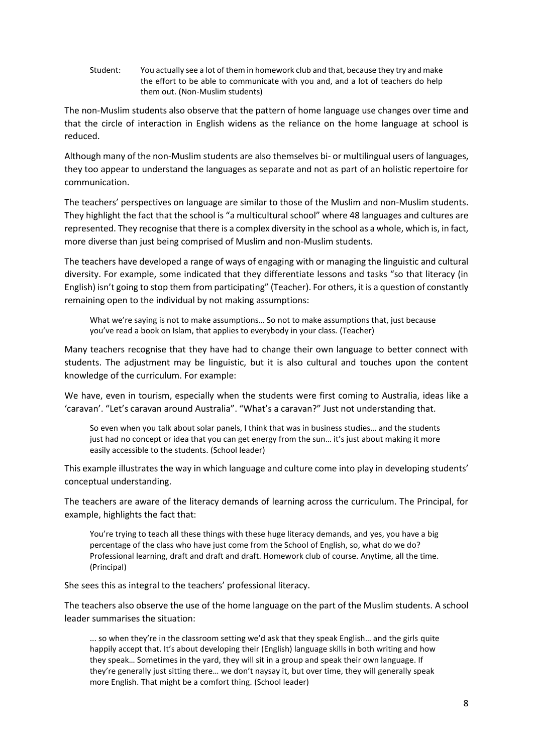Student: You actually see a lot of them in homework club and that, because they try and make the effort to be able to communicate with you and, and a lot of teachers do help them out. (Non-Muslim students)

The non-Muslim students also observe that the pattern of home language use changes over time and that the circle of interaction in English widens as the reliance on the home language at school is reduced.

Although many of the non-Muslim students are also themselves bi- or multilingual users of languages, they too appear to understand the languages as separate and not as part of an holistic repertoire for communication.

The teachers' perspectives on language are similar to those of the Muslim and non-Muslim students. They highlight the fact that the school is "a multicultural school" where 48 languages and cultures are represented. They recognise that there is a complex diversity in the school as a whole, which is, in fact, more diverse than just being comprised of Muslim and non-Muslim students.

The teachers have developed a range of ways of engaging with or managing the linguistic and cultural diversity. For example, some indicated that they differentiate lessons and tasks "so that literacy (in English) isn't going to stop them from participating" (Teacher). For others, it is a question of constantly remaining open to the individual by not making assumptions:

What we're saying is not to make assumptions… So not to make assumptions that, just because you've read a book on Islam, that applies to everybody in your class. (Teacher)

Many teachers recognise that they have had to change their own language to better connect with students. The adjustment may be linguistic, but it is also cultural and touches upon the content knowledge of the curriculum. For example:

We have, even in tourism, especially when the students were first coming to Australia, ideas like a 'caravan'. "Let's caravan around Australia". "What's a caravan?" Just not understanding that.

So even when you talk about solar panels, I think that was in business studies… and the students just had no concept or idea that you can get energy from the sun... it's just about making it more easily accessible to the students. (School leader)

This example illustrates the way in which language and culture come into play in developing students' conceptual understanding.

The teachers are aware of the literacy demands of learning across the curriculum. The Principal, for example, highlights the fact that:

You're trying to teach all these things with these huge literacy demands, and yes, you have a big percentage of the class who have just come from the School of English, so, what do we do? Professional learning, draft and draft and draft. Homework club of course. Anytime, all the time. (Principal)

She sees this as integral to the teachers' professional literacy.

The teachers also observe the use of the home language on the part of the Muslim students. A school leader summarises the situation:

... so when they're in the classroom setting we'd ask that they speak English… and the girls quite happily accept that. It's about developing their (English) language skills in both writing and how they speak… Sometimes in the yard, they will sit in a group and speak their own language. If they're generally just sitting there… we don't naysay it, but over time, they will generally speak more English. That might be a comfort thing. (School leader)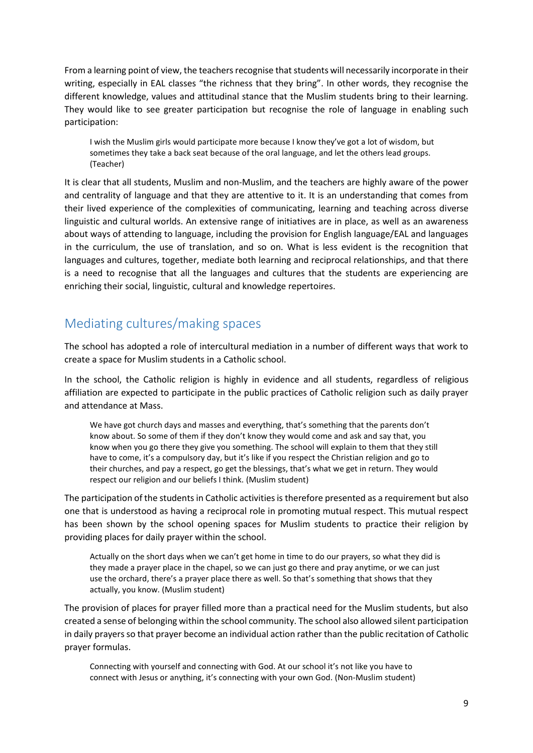From a learning point of view, the teachers recognise that students will necessarily incorporate in their writing, especially in EAL classes "the richness that they bring". In other words, they recognise the different knowledge, values and attitudinal stance that the Muslim students bring to their learning. They would like to see greater participation but recognise the role of language in enabling such participation:

I wish the Muslim girls would participate more because I know they've got a lot of wisdom, but sometimes they take a back seat because of the oral language, and let the others lead groups. (Teacher)

It is clear that all students, Muslim and non-Muslim, and the teachers are highly aware of the power and centrality of language and that they are attentive to it. It is an understanding that comes from their lived experience of the complexities of communicating, learning and teaching across diverse linguistic and cultural worlds. An extensive range of initiatives are in place, as well as an awareness about ways of attending to language, including the provision for English language/EAL and languages in the curriculum, the use of translation, and so on. What is less evident is the recognition that languages and cultures, together, mediate both learning and reciprocal relationships, and that there is a need to recognise that all the languages and cultures that the students are experiencing are enriching their social, linguistic, cultural and knowledge repertoires.

### <span id="page-12-0"></span>Mediating cultures/making spaces

The school has adopted a role of intercultural mediation in a number of different ways that work to create a space for Muslim students in a Catholic school.

In the school, the Catholic religion is highly in evidence and all students, regardless of religious affiliation are expected to participate in the public practices of Catholic religion such as daily prayer and attendance at Mass.

We have got church days and masses and everything, that's something that the parents don't know about. So some of them if they don't know they would come and ask and say that, you know when you go there they give you something. The school will explain to them that they still have to come, it's a compulsory day, but it's like if you respect the Christian religion and go to their churches, and pay a respect, go get the blessings, that's what we get in return. They would respect our religion and our beliefs I think. (Muslim student)

The participation of the students in Catholic activities is therefore presented as a requirement but also one that is understood as having a reciprocal role in promoting mutual respect. This mutual respect has been shown by the school opening spaces for Muslim students to practice their religion by providing places for daily prayer within the school.

Actually on the short days when we can't get home in time to do our prayers, so what they did is they made a prayer place in the chapel, so we can just go there and pray anytime, or we can just use the orchard, there's a prayer place there as well. So that's something that shows that they actually, you know. (Muslim student)

The provision of places for prayer filled more than a practical need for the Muslim students, but also created a sense of belonging within the school community. The school also allowed silent participation in daily prayers so that prayer become an individual action rather than the public recitation of Catholic prayer formulas.

Connecting with yourself and connecting with God. At our school it's not like you have to connect with Jesus or anything, it's connecting with your own God. (Non-Muslim student)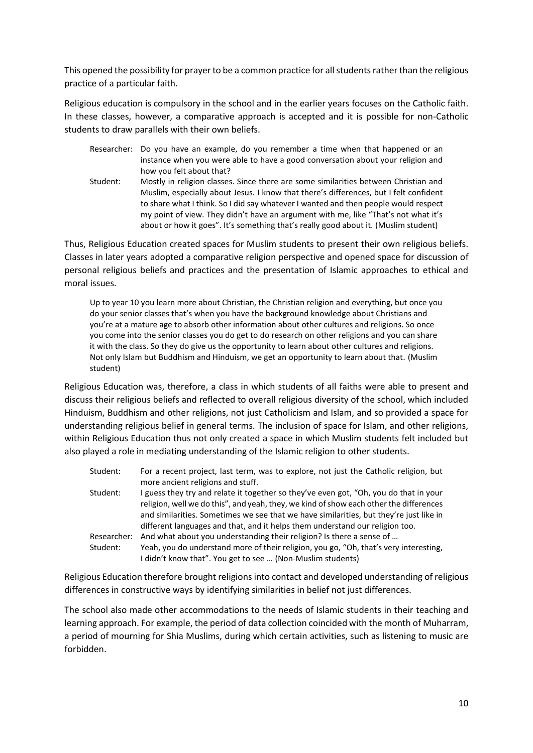This opened the possibility for prayer to be a common practice for all students rather than the religious practice of a particular faith.

Religious education is compulsory in the school and in the earlier years focuses on the Catholic faith. In these classes, however, a comparative approach is accepted and it is possible for non-Catholic students to draw parallels with their own beliefs.

- Researcher: Do you have an example, do you remember a time when that happened or an instance when you were able to have a good conversation about your religion and how you felt about that?
- Student: Mostly in religion classes. Since there are some similarities between Christian and Muslim, especially about Jesus. I know that there's differences, but I felt confident to share what I think. So I did say whatever I wanted and then people would respect my point of view. They didn't have an argument with me, like "That's not what it's about or how it goes". It's something that's really good about it. (Muslim student)

Thus, Religious Education created spaces for Muslim students to present their own religious beliefs. Classes in later years adopted a comparative religion perspective and opened space for discussion of personal religious beliefs and practices and the presentation of Islamic approaches to ethical and moral issues.

Up to year 10 you learn more about Christian, the Christian religion and everything, but once you do your senior classes that's when you have the background knowledge about Christians and you're at a mature age to absorb other information about other cultures and religions. So once you come into the senior classes you do get to do research on other religions and you can share it with the class. So they do give us the opportunity to learn about other cultures and religions. Not only Islam but Buddhism and Hinduism, we get an opportunity to learn about that. (Muslim student)

Religious Education was, therefore, a class in which students of all faiths were able to present and discuss their religious beliefs and reflected to overall religious diversity of the school, which included Hinduism, Buddhism and other religions, not just Catholicism and Islam, and so provided a space for understanding religious belief in general terms. The inclusion of space for Islam, and other religions, within Religious Education thus not only created a space in which Muslim students felt included but also played a role in mediating understanding of the Islamic religion to other students.

| Student:    | For a recent project, last term, was to explore, not just the Catholic religion, but   |
|-------------|----------------------------------------------------------------------------------------|
|             | more ancient religions and stuff.                                                      |
| Student:    | I guess they try and relate it together so they've even got, "Oh, you do that in your  |
|             | religion, well we do this", and yeah, they, we kind of show each other the differences |
|             | and similarities. Sometimes we see that we have similarities, but they're just like in |
|             | different languages and that, and it helps them understand our religion too.           |
| Researcher: | And what about you understanding their religion? Is there a sense of                   |
| Student:    | Yeah, you do understand more of their religion, you go, "Oh, that's very interesting,  |
|             | I didn't know that". You get to see  (Non-Muslim students)                             |

Religious Education therefore brought religions into contact and developed understanding of religious differences in constructive ways by identifying similarities in belief not just differences.

The school also made other accommodations to the needs of Islamic students in their teaching and learning approach. For example, the period of data collection coincided with the month of Muharram, a period of mourning for Shia Muslims, during which certain activities, such as listening to music are forbidden.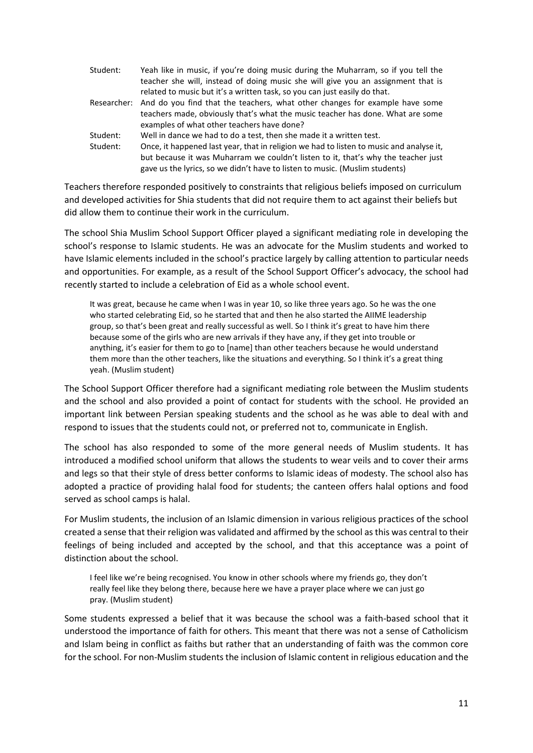| Student:    | Yeah like in music, if you're doing music during the Muharram, so if you tell the       |
|-------------|-----------------------------------------------------------------------------------------|
|             | teacher she will, instead of doing music she will give you an assignment that is        |
|             | related to music but it's a written task, so you can just easily do that.               |
| Researcher: | And do you find that the teachers, what other changes for example have some             |
|             | teachers made, obviously that's what the music teacher has done. What are some          |
|             | examples of what other teachers have done?                                              |
| Student:    | Well in dance we had to do a test, then she made it a written test.                     |
| Student:    | Once, it happened last year, that in religion we had to listen to music and analyse it, |
|             | but because it was Muharram we couldn't listen to it, that's why the teacher just       |
|             | gave us the lyrics, so we didn't have to listen to music. (Muslim students)             |

Teachers therefore responded positively to constraints that religious beliefs imposed on curriculum and developed activities for Shia students that did not require them to act against their beliefs but did allow them to continue their work in the curriculum.

The school Shia Muslim School Support Officer played a significant mediating role in developing the school's response to Islamic students. He was an advocate for the Muslim students and worked to have Islamic elements included in the school's practice largely by calling attention to particular needs and opportunities. For example, as a result of the School Support Officer's advocacy, the school had recently started to include a celebration of Eid as a whole school event.

It was great, because he came when I was in year 10, so like three years ago. So he was the one who started celebrating Eid, so he started that and then he also started the AIIME leadership group, so that's been great and really successful as well. So I think it's great to have him there because some of the girls who are new arrivals if they have any, if they get into trouble or anything, it's easier for them to go to [name] than other teachers because he would understand them more than the other teachers, like the situations and everything. So I think it's a great thing yeah. (Muslim student)

The School Support Officer therefore had a significant mediating role between the Muslim students and the school and also provided a point of contact for students with the school. He provided an important link between Persian speaking students and the school as he was able to deal with and respond to issues that the students could not, or preferred not to, communicate in English.

The school has also responded to some of the more general needs of Muslim students. It has introduced a modified school uniform that allows the students to wear veils and to cover their arms and legs so that their style of dress better conforms to Islamic ideas of modesty. The school also has adopted a practice of providing halal food for students; the canteen offers halal options and food served as school camps is halal.

For Muslim students, the inclusion of an Islamic dimension in various religious practices of the school created a sense that their religion was validated and affirmed by the school as this was central to their feelings of being included and accepted by the school, and that this acceptance was a point of distinction about the school.

I feel like we're being recognised. You know in other schools where my friends go, they don't really feel like they belong there, because here we have a prayer place where we can just go pray. (Muslim student)

Some students expressed a belief that it was because the school was a faith-based school that it understood the importance of faith for others. This meant that there was not a sense of Catholicism and Islam being in conflict as faiths but rather that an understanding of faith was the common core for the school. For non-Muslim students the inclusion of Islamic content in religious education and the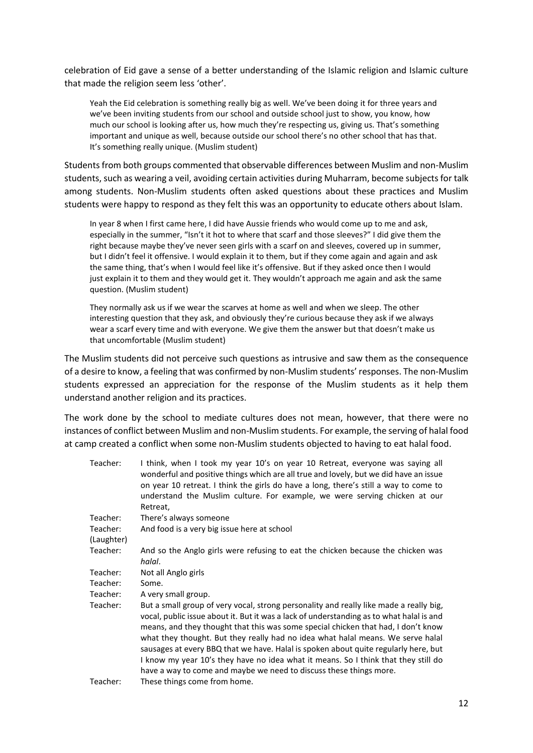celebration of Eid gave a sense of a better understanding of the Islamic religion and Islamic culture that made the religion seem less 'other'.

Yeah the Eid celebration is something really big as well. We've been doing it for three years and we've been inviting students from our school and outside school just to show, you know, how much our school is looking after us, how much they're respecting us, giving us. That's something important and unique as well, because outside our school there's no other school that has that. It's something really unique. (Muslim student)

Students from both groups commented that observable differences between Muslim and non-Muslim students, such as wearing a veil, avoiding certain activities during Muharram, become subjects for talk among students. Non-Muslim students often asked questions about these practices and Muslim students were happy to respond as they felt this was an opportunity to educate others about Islam.

In year 8 when I first came here, I did have Aussie friends who would come up to me and ask, especially in the summer, "Isn't it hot to where that scarf and those sleeves?" I did give them the right because maybe they've never seen girls with a scarf on and sleeves, covered up in summer, but I didn't feel it offensive. I would explain it to them, but if they come again and again and ask the same thing, that's when I would feel like it's offensive. But if they asked once then I would just explain it to them and they would get it. They wouldn't approach me again and ask the same question. (Muslim student)

They normally ask us if we wear the scarves at home as well and when we sleep. The other interesting question that they ask, and obviously they're curious because they ask if we always wear a scarf every time and with everyone. We give them the answer but that doesn't make us that uncomfortable (Muslim student)

The Muslim students did not perceive such questions as intrusive and saw them as the consequence of a desire to know, a feeling that was confirmed by non-Muslim students' responses. The non-Muslim students expressed an appreciation for the response of the Muslim students as it help them understand another religion and its practices.

The work done by the school to mediate cultures does not mean, however, that there were no instances of conflict between Muslim and non-Muslim students. For example, the serving of halal food at camp created a conflict when some non-Muslim students objected to having to eat halal food.

| Teacher:   | I think, when I took my year 10's on year 10 Retreat, everyone was saying all<br>wonderful and positive things which are all true and lovely, but we did have an issue<br>on year 10 retreat. I think the girls do have a long, there's still a way to come to<br>understand the Muslim culture. For example, we were serving chicken at our<br>Retreat,                                                                                                                                                                                                                                                      |
|------------|---------------------------------------------------------------------------------------------------------------------------------------------------------------------------------------------------------------------------------------------------------------------------------------------------------------------------------------------------------------------------------------------------------------------------------------------------------------------------------------------------------------------------------------------------------------------------------------------------------------|
| Teacher:   | There's always someone                                                                                                                                                                                                                                                                                                                                                                                                                                                                                                                                                                                        |
| Teacher:   | And food is a very big issue here at school                                                                                                                                                                                                                                                                                                                                                                                                                                                                                                                                                                   |
| (Laughter) |                                                                                                                                                                                                                                                                                                                                                                                                                                                                                                                                                                                                               |
| Teacher:   | And so the Anglo girls were refusing to eat the chicken because the chicken was<br>halal.                                                                                                                                                                                                                                                                                                                                                                                                                                                                                                                     |
| Teacher:   | Not all Anglo girls                                                                                                                                                                                                                                                                                                                                                                                                                                                                                                                                                                                           |
| Teacher:   | Some.                                                                                                                                                                                                                                                                                                                                                                                                                                                                                                                                                                                                         |
| Teacher:   | A very small group.                                                                                                                                                                                                                                                                                                                                                                                                                                                                                                                                                                                           |
| Teacher:   | But a small group of very vocal, strong personality and really like made a really big,<br>vocal, public issue about it. But it was a lack of understanding as to what halal is and<br>means, and they thought that this was some special chicken that had, I don't know<br>what they thought. But they really had no idea what halal means. We serve halal<br>sausages at every BBQ that we have. Halal is spoken about quite regularly here, but<br>I know my year 10's they have no idea what it means. So I think that they still do<br>have a way to come and maybe we need to discuss these things more. |
| Teacher:   | These things come from home.                                                                                                                                                                                                                                                                                                                                                                                                                                                                                                                                                                                  |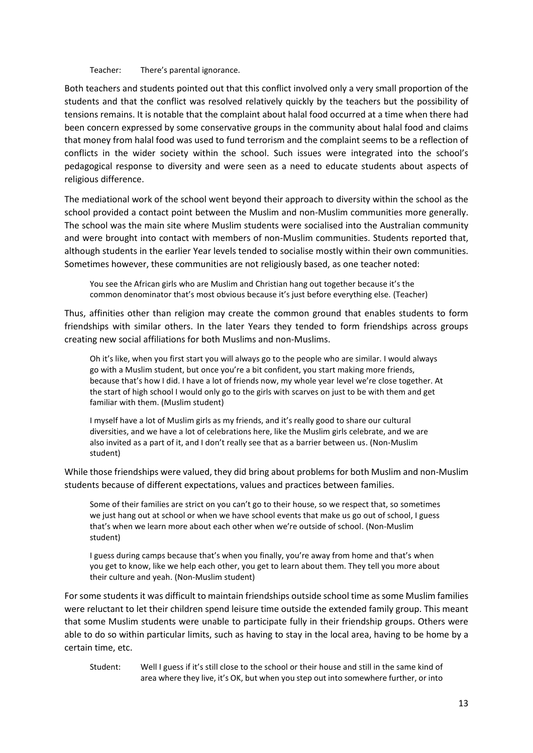Teacher: There's parental ignorance.

Both teachers and students pointed out that this conflict involved only a very small proportion of the students and that the conflict was resolved relatively quickly by the teachers but the possibility of tensions remains. It is notable that the complaint about halal food occurred at a time when there had been concern expressed by some conservative groups in the community about halal food and claims that money from halal food was used to fund terrorism and the complaint seems to be a reflection of conflicts in the wider society within the school. Such issues were integrated into the school's pedagogical response to diversity and were seen as a need to educate students about aspects of religious difference.

The mediational work of the school went beyond their approach to diversity within the school as the school provided a contact point between the Muslim and non-Muslim communities more generally. The school was the main site where Muslim students were socialised into the Australian community and were brought into contact with members of non-Muslim communities. Students reported that, although students in the earlier Year levels tended to socialise mostly within their own communities. Sometimes however, these communities are not religiously based, as one teacher noted:

You see the African girls who are Muslim and Christian hang out together because it's the common denominator that's most obvious because it's just before everything else. (Teacher)

Thus, affinities other than religion may create the common ground that enables students to form friendships with similar others. In the later Years they tended to form friendships across groups creating new social affiliations for both Muslims and non-Muslims.

Oh it's like, when you first start you will always go to the people who are similar. I would always go with a Muslim student, but once you're a bit confident, you start making more friends, because that's how I did. I have a lot of friends now, my whole year level we're close together. At the start of high school I would only go to the girls with scarves on just to be with them and get familiar with them. (Muslim student)

I myself have a lot of Muslim girls as my friends, and it's really good to share our cultural diversities, and we have a lot of celebrations here, like the Muslim girls celebrate, and we are also invited as a part of it, and I don't really see that as a barrier between us. (Non-Muslim student)

While those friendships were valued, they did bring about problems for both Muslim and non-Muslim students because of different expectations, values and practices between families.

Some of their families are strict on you can't go to their house, so we respect that, so sometimes we just hang out at school or when we have school events that make us go out of school, I guess that's when we learn more about each other when we're outside of school. (Non-Muslim student)

I guess during camps because that's when you finally, you're away from home and that's when you get to know, like we help each other, you get to learn about them. They tell you more about their culture and yeah. (Non-Muslim student)

For some students it was difficult to maintain friendships outside school time as some Muslim families were reluctant to let their children spend leisure time outside the extended family group. This meant that some Muslim students were unable to participate fully in their friendship groups. Others were able to do so within particular limits, such as having to stay in the local area, having to be home by a certain time, etc.

Student: Well I guess if it's still close to the school or their house and still in the same kind of area where they live, it's OK, but when you step out into somewhere further, or into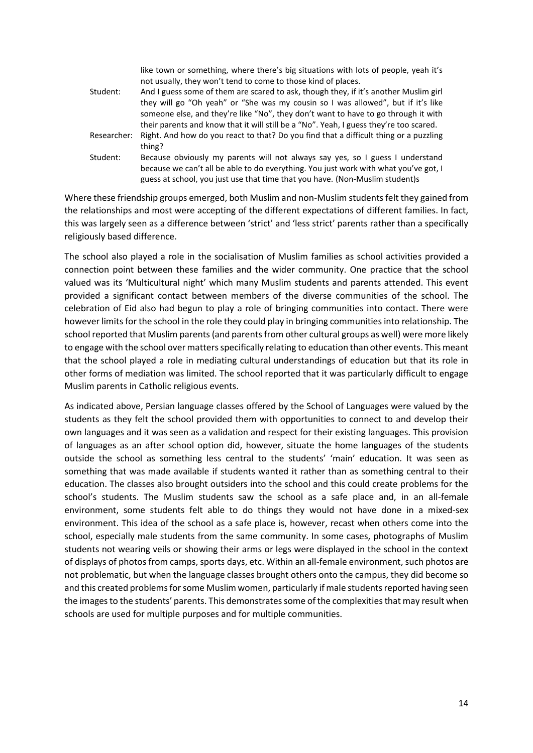|             | like town or something, where there's big situations with lots of people, yeah it's<br>not usually, they won't tend to come to those kind of places.                                                                                                                                                                                                     |
|-------------|----------------------------------------------------------------------------------------------------------------------------------------------------------------------------------------------------------------------------------------------------------------------------------------------------------------------------------------------------------|
| Student:    | And I guess some of them are scared to ask, though they, if it's another Muslim girl<br>they will go "Oh yeah" or "She was my cousin so I was allowed", but if it's like<br>someone else, and they're like "No", they don't want to have to go through it with<br>their parents and know that it will still be a "No". Yeah, I guess they're too scared. |
| Researcher: | Right. And how do you react to that? Do you find that a difficult thing or a puzzling<br>thing?                                                                                                                                                                                                                                                          |
| Student:    | Because obviously my parents will not always say yes, so I guess I understand<br>because we can't all be able to do everything. You just work with what you've got, I<br>guess at school, you just use that time that you have. (Non-Muslim student)s                                                                                                    |

Where these friendship groups emerged, both Muslim and non-Muslim students felt they gained from the relationships and most were accepting of the different expectations of different families. In fact, this was largely seen as a difference between 'strict' and 'less strict' parents rather than a specifically religiously based difference.

The school also played a role in the socialisation of Muslim families as school activities provided a connection point between these families and the wider community. One practice that the school valued was its 'Multicultural night' which many Muslim students and parents attended. This event provided a significant contact between members of the diverse communities of the school. The celebration of Eid also had begun to play a role of bringing communities into contact. There were however limits for the school in the role they could play in bringing communities into relationship. The school reported that Muslim parents (and parents from other cultural groups as well) were more likely to engage with the school over matters specifically relating to education than other events. This meant that the school played a role in mediating cultural understandings of education but that its role in other forms of mediation was limited. The school reported that it was particularly difficult to engage Muslim parents in Catholic religious events.

As indicated above, Persian language classes offered by the School of Languages were valued by the students as they felt the school provided them with opportunities to connect to and develop their own languages and it was seen as a validation and respect for their existing languages. This provision of languages as an after school option did, however, situate the home languages of the students outside the school as something less central to the students' 'main' education. It was seen as something that was made available if students wanted it rather than as something central to their education. The classes also brought outsiders into the school and this could create problems for the school's students. The Muslim students saw the school as a safe place and, in an all-female environment, some students felt able to do things they would not have done in a mixed-sex environment. This idea of the school as a safe place is, however, recast when others come into the school, especially male students from the same community. In some cases, photographs of Muslim students not wearing veils or showing their arms or legs were displayed in the school in the context of displays of photos from camps, sports days, etc. Within an all-female environment, such photos are not problematic, but when the language classes brought others onto the campus, they did become so and this created problems for some Muslim women, particularly if male students reported having seen the images to the students' parents. This demonstrates some of the complexities that may result when schools are used for multiple purposes and for multiple communities.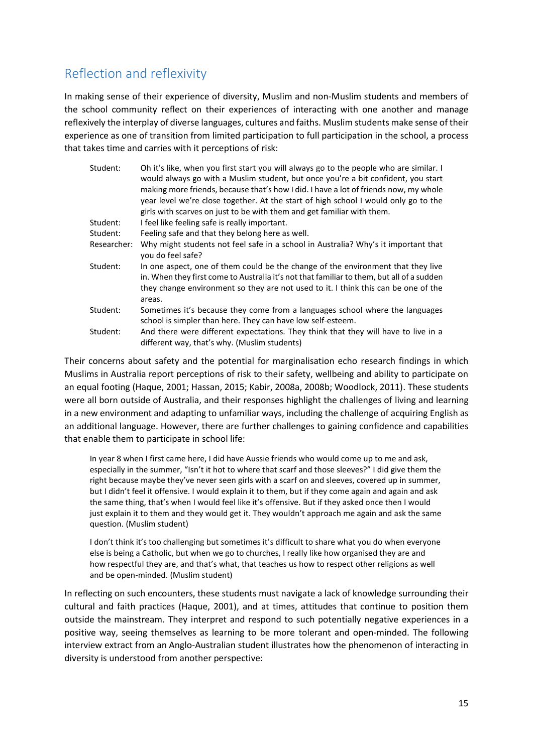## <span id="page-18-0"></span>Reflection and reflexivity

In making sense of their experience of diversity, Muslim and non-Muslim students and members of the school community reflect on their experiences of interacting with one another and manage reflexively the interplay of diverse languages, cultures and faiths. Muslim students make sense of their experience as one of transition from limited participation to full participation in the school, a process that takes time and carries with it perceptions of risk:

| Student:    | Oh it's like, when you first start you will always go to the people who are similar. I<br>would always go with a Muslim student, but once you're a bit confident, you start<br>making more friends, because that's how I did. I have a lot of friends now, my whole<br>year level we're close together. At the start of high school I would only go to the<br>girls with scarves on just to be with them and get familiar with them. |
|-------------|--------------------------------------------------------------------------------------------------------------------------------------------------------------------------------------------------------------------------------------------------------------------------------------------------------------------------------------------------------------------------------------------------------------------------------------|
| Student:    | I feel like feeling safe is really important.                                                                                                                                                                                                                                                                                                                                                                                        |
| Student:    | Feeling safe and that they belong here as well.                                                                                                                                                                                                                                                                                                                                                                                      |
| Researcher: | Why might students not feel safe in a school in Australia? Why's it important that<br>you do feel safe?                                                                                                                                                                                                                                                                                                                              |
| Student:    | In one aspect, one of them could be the change of the environment that they live<br>in. When they first come to Australia it's not that familiar to them, but all of a sudden<br>they change environment so they are not used to it. I think this can be one of the<br>areas.                                                                                                                                                        |
| Student:    | Sometimes it's because they come from a languages school where the languages<br>school is simpler than here. They can have low self-esteem.                                                                                                                                                                                                                                                                                          |
| Student:    | And there were different expectations. They think that they will have to live in a<br>different way, that's why. (Muslim students)                                                                                                                                                                                                                                                                                                   |

Their concerns about safety and the potential for marginalisation echo research findings in which Muslims in Australia report perceptions of risk to their safety, wellbeing and ability to participate on an equal footing (Haque, 2001; Hassan, 2015; Kabir, 2008a, 2008b; Woodlock, 2011). These students were all born outside of Australia, and their responses highlight the challenges of living and learning in a new environment and adapting to unfamiliar ways, including the challenge of acquiring English as an additional language. However, there are further challenges to gaining confidence and capabilities that enable them to participate in school life:

In year 8 when I first came here, I did have Aussie friends who would come up to me and ask, especially in the summer, "Isn't it hot to where that scarf and those sleeves?" I did give them the right because maybe they've never seen girls with a scarf on and sleeves, covered up in summer, but I didn't feel it offensive. I would explain it to them, but if they come again and again and ask the same thing, that's when I would feel like it's offensive. But if they asked once then I would just explain it to them and they would get it. They wouldn't approach me again and ask the same question. (Muslim student)

I don't think it's too challenging but sometimes it's difficult to share what you do when everyone else is being a Catholic, but when we go to churches, I really like how organised they are and how respectful they are, and that's what, that teaches us how to respect other religions as well and be open-minded. (Muslim student)

In reflecting on such encounters, these students must navigate a lack of knowledge surrounding their cultural and faith practices (Haque, 2001), and at times, attitudes that continue to position them outside the mainstream. They interpret and respond to such potentially negative experiences in a positive way, seeing themselves as learning to be more tolerant and open-minded. The following interview extract from an Anglo-Australian student illustrates how the phenomenon of interacting in diversity is understood from another perspective: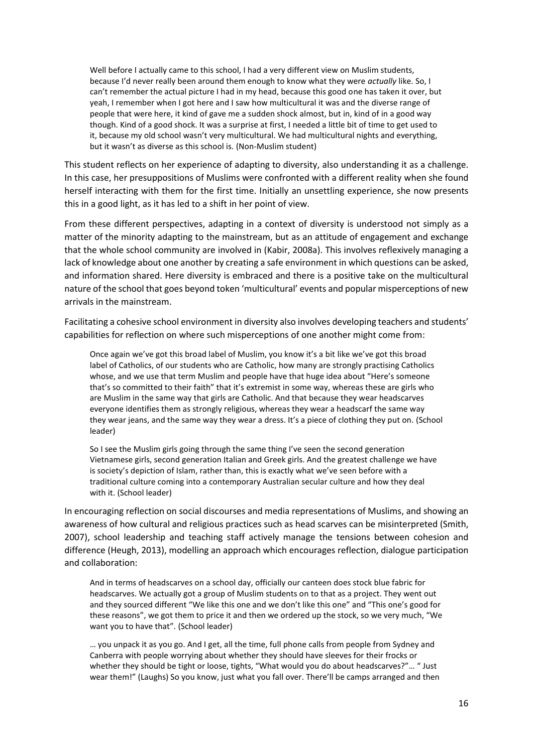Well before I actually came to this school, I had a very different view on Muslim students, because I'd never really been around them enough to know what they were *actually* like. So, I can't remember the actual picture I had in my head, because this good one has taken it over, but yeah, I remember when I got here and I saw how multicultural it was and the diverse range of people that were here, it kind of gave me a sudden shock almost, but in, kind of in a good way though. Kind of a good shock. It was a surprise at first, I needed a little bit of time to get used to it, because my old school wasn't very multicultural. We had multicultural nights and everything, but it wasn't as diverse as this school is. (Non-Muslim student)

This student reflects on her experience of adapting to diversity, also understanding it as a challenge. In this case, her presuppositions of Muslims were confronted with a different reality when she found herself interacting with them for the first time. Initially an unsettling experience, she now presents this in a good light, as it has led to a shift in her point of view.

From these different perspectives, adapting in a context of diversity is understood not simply as a matter of the minority adapting to the mainstream, but as an attitude of engagement and exchange that the whole school community are involved in (Kabir, 2008a). This involves reflexively managing a lack of knowledge about one another by creating a safe environment in which questions can be asked, and information shared. Here diversity is embraced and there is a positive take on the multicultural nature of the school that goes beyond token 'multicultural' events and popular misperceptions of new arrivals in the mainstream.

Facilitating a cohesive school environment in diversity also involves developing teachers and students' capabilities for reflection on where such misperceptions of one another might come from:

Once again we've got this broad label of Muslim, you know it's a bit like we've got this broad label of Catholics, of our students who are Catholic, how many are strongly practising Catholics whose, and we use that term Muslim and people have that huge idea about "Here's someone that's so committed to their faith" that it's extremist in some way, whereas these are girls who are Muslim in the same way that girls are Catholic. And that because they wear headscarves everyone identifies them as strongly religious, whereas they wear a headscarf the same way they wear jeans, and the same way they wear a dress. It's a piece of clothing they put on. (School leader)

So I see the Muslim girls going through the same thing I've seen the second generation Vietnamese girls, second generation Italian and Greek girls. And the greatest challenge we have is society's depiction of Islam, rather than, this is exactly what we've seen before with a traditional culture coming into a contemporary Australian secular culture and how they deal with it. (School leader)

In encouraging reflection on social discourses and media representations of Muslims, and showing an awareness of how cultural and religious practices such as head scarves can be misinterpreted (Smith, 2007), school leadership and teaching staff actively manage the tensions between cohesion and difference (Heugh, 2013), modelling an approach which encourages reflection, dialogue participation and collaboration:

And in terms of headscarves on a school day, officially our canteen does stock blue fabric for headscarves. We actually got a group of Muslim students on to that as a project. They went out and they sourced different "We like this one and we don't like this one" and "This one's good for these reasons", we got them to price it and then we ordered up the stock, so we very much, "We want you to have that". (School leader)

… you unpack it as you go. And I get, all the time, full phone calls from people from Sydney and Canberra with people worrying about whether they should have sleeves for their frocks or whether they should be tight or loose, tights, "What would you do about headscarves?"... " Just wear them!" (Laughs) So you know, just what you fall over. There'll be camps arranged and then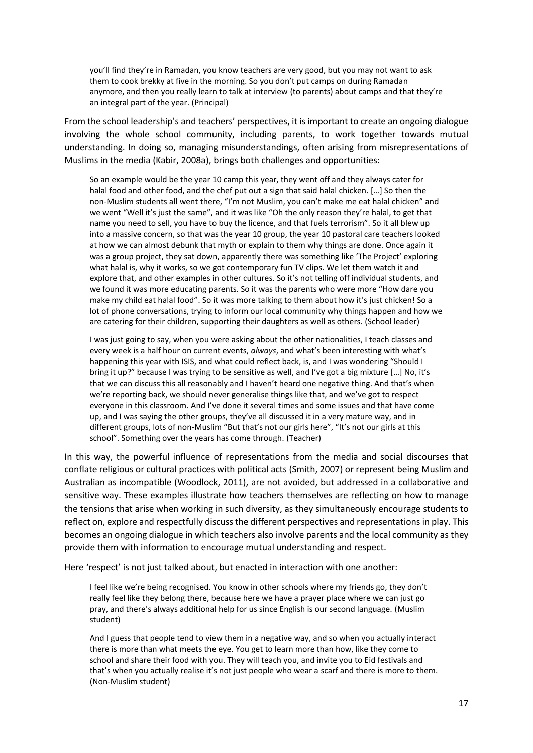you'll find they're in Ramadan, you know teachers are very good, but you may not want to ask them to cook brekky at five in the morning. So you don't put camps on during Ramadan anymore, and then you really learn to talk at interview (to parents) about camps and that they're an integral part of the year. (Principal)

From the school leadership's and teachers' perspectives, it is important to create an ongoing dialogue involving the whole school community, including parents, to work together towards mutual understanding. In doing so, managing misunderstandings, often arising from misrepresentations of Muslims in the media (Kabir, 2008a), brings both challenges and opportunities:

So an example would be the year 10 camp this year, they went off and they always cater for halal food and other food, and the chef put out a sign that said halal chicken. […] So then the non-Muslim students all went there, "I'm not Muslim, you can't make me eat halal chicken" and we went "Well it's just the same", and it was like "Oh the only reason they're halal, to get that name you need to sell, you have to buy the licence, and that fuels terrorism". So it all blew up into a massive concern, so that was the year 10 group, the year 10 pastoral care teachers looked at how we can almost debunk that myth or explain to them why things are done. Once again it was a group project, they sat down, apparently there was something like 'The Project' exploring what halal is, why it works, so we got contemporary fun TV clips. We let them watch it and explore that, and other examples in other cultures. So it's not telling off individual students, and we found it was more educating parents. So it was the parents who were more "How dare you make my child eat halal food". So it was more talking to them about how it's just chicken! So a lot of phone conversations, trying to inform our local community why things happen and how we are catering for their children, supporting their daughters as well as others. (School leader)

I was just going to say, when you were asking about the other nationalities, I teach classes and every week is a half hour on current events, *always*, and what's been interesting with what's happening this year with ISIS, and what could reflect back, is, and I was wondering "Should I bring it up?" because I was trying to be sensitive as well, and I've got a big mixture […] No, it's that we can discuss this all reasonably and I haven't heard one negative thing. And that's when we're reporting back, we should never generalise things like that, and we've got to respect everyone in this classroom. And I've done it several times and some issues and that have come up, and I was saying the other groups, they've all discussed it in a very mature way, and in different groups, lots of non-Muslim "But that's not our girls here", "It's not our girls at this school". Something over the years has come through. (Teacher)

In this way, the powerful influence of representations from the media and social discourses that conflate religious or cultural practices with political acts (Smith, 2007) or represent being Muslim and Australian as incompatible (Woodlock, 2011), are not avoided, but addressed in a collaborative and sensitive way. These examples illustrate how teachers themselves are reflecting on how to manage the tensions that arise when working in such diversity, as they simultaneously encourage students to reflect on, explore and respectfully discuss the different perspectives and representations in play. This becomes an ongoing dialogue in which teachers also involve parents and the local community as they provide them with information to encourage mutual understanding and respect.

Here 'respect' is not just talked about, but enacted in interaction with one another:

I feel like we're being recognised. You know in other schools where my friends go, they don't really feel like they belong there, because here we have a prayer place where we can just go pray, and there's always additional help for us since English is our second language. (Muslim student)

And I guess that people tend to view them in a negative way, and so when you actually interact there is more than what meets the eye. You get to learn more than how, like they come to school and share their food with you. They will teach you, and invite you to Eid festivals and that's when you actually realise it's not just people who wear a scarf and there is more to them. (Non-Muslim student)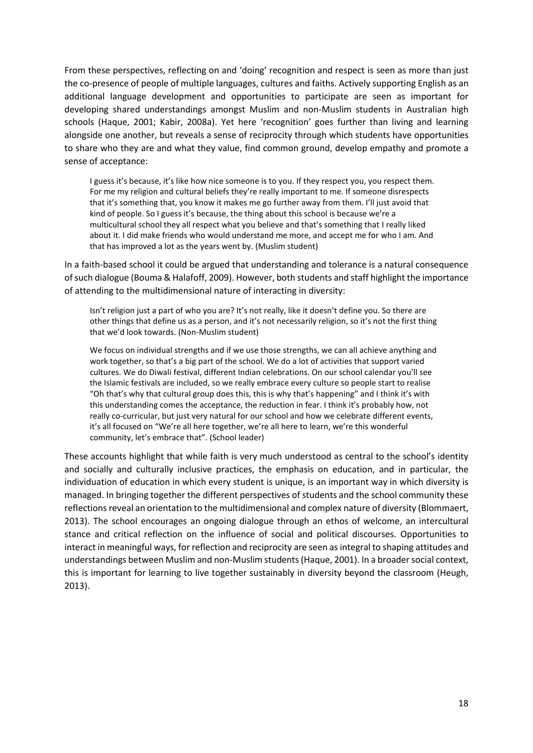From these perspectives, reflecting on and 'doing' recognition and respect is seen as more than just the co-presence of people of multiple languages, cultures and faiths. Actively supporting English as an additional language development and opportunities to participate are seen as important for developing shared understandings amongst Muslim and non-Muslim students in Australian high schools (Haque, 2001; Kabir, 2008a). Yet here 'recognition' goes further than living and learning alongside one another, but reveals a sense of reciprocity through which students have opportunities to share who they are and what they value, find common ground, develop empathy and promote a sense of acceptance:

I guess it's because, it's like how nice someone is to you. If they respect you, you respect them. For me my religion and cultural beliefs they're really important to me. If someone disrespects that it's something that, you know it makes me go further away from them. I'll just avoid that kind of people. So I guess it's because, the thing about this school is because we're a multicultural school they all respect what you believe and that's something that I really liked about it. I did make friends who would understand me more, and accept me for who I am. And that has improved a lot as the years went by. (Muslim student)

In a faith-based school it could be argued that understanding and tolerance is a natural consequence of such dialogue (Bouma & Halafoff, 2009). However, both students and staff highlight the importance of attending to the multidimensional nature of interacting in diversity:

Isn't religion just a part of who you are? It's not really, like it doesn't define you. So there are other things that define us as a person, and it's not necessarily religion, so it's not the first thing that we'd look towards. (Non-Muslim student)

We focus on individual strengths and if we use those strengths, we can all achieve anything and work together, so that's a big part of the school. We do a lot of activities that support varied cultures. We do Diwali festival, different Indian celebrations. On our school calendar you'll see the Islamic festivals are included, so we really embrace every culture so people start to realise "Oh that's why that cultural group does this, this is why that's happening" and I think it's with this understanding comes the acceptance, the reduction in fear. I think it's probably how, not really co-curricular, but just very natural for our school and how we celebrate different events, it's all focused on "We're all here together, we're all here to learn, we're this wonderful community, let's embrace that". (School leader)

These accounts highlight that while faith is very much understood as central to the school's identity and socially and culturally inclusive practices, the emphasis on education, and in particular, the individuation of education in which every student is unique, is an important way in which diversity is managed. In bringing together the different perspectives of students and the school community these reflections reveal an orientation to the multidimensional and complex nature of diversity (Blommaert, 2013). The school encourages an ongoing dialogue through an ethos of welcome, an intercultural stance and critical reflection on the influence of social and political discourses. Opportunities to interact in meaningful ways, for reflection and reciprocity are seen as integral to shaping attitudes and understandings between Muslim and non-Muslim students(Haque, 2001). In a broader social context, this is important for learning to live together sustainably in diversity beyond the classroom (Heugh, 2013).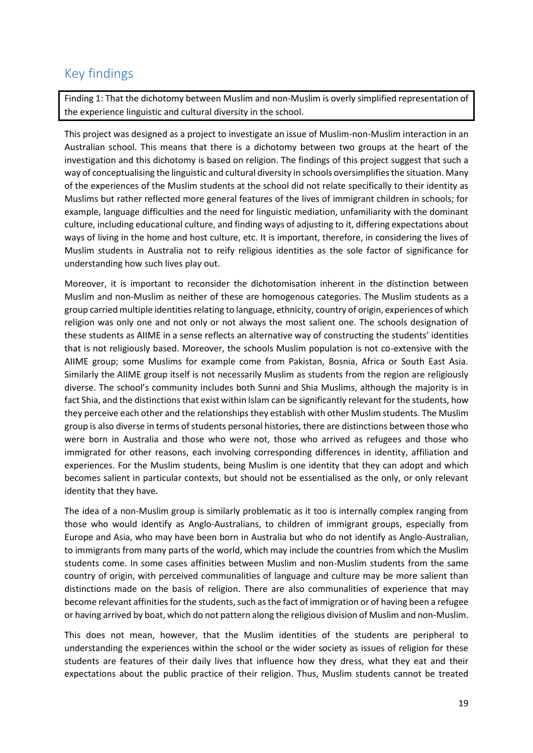### <span id="page-22-0"></span>Key findings

Finding 1: That the dichotomy between Muslim and non-Muslim is overly simplified representation of the experience linguistic and cultural diversity in the school.

This project was designed as a project to investigate an issue of Muslim-non-Muslim interaction in an Australian school. This means that there is a dichotomy between two groups at the heart of the investigation and this dichotomy is based on religion. The findings of this project suggest that such a way of conceptualising the linguistic and cultural diversity in schools oversimplifies the situation. Many of the experiences of the Muslim students at the school did not relate specifically to their identity as Muslims but rather reflected more general features of the lives of immigrant children in schools; for example, language difficulties and the need for linguistic mediation, unfamiliarity with the dominant culture, including educational culture, and finding ways of adjusting to it, differing expectations about ways of living in the home and host culture, etc. It is important, therefore, in considering the lives of Muslim students in Australia not to reify religious identities as the sole factor of significance for understanding how such lives play out.

Moreover, it is important to reconsider the dichotomisation inherent in the distinction between Muslim and non-Muslim as neither of these are homogenous categories. The Muslim students as a group carried multiple identities relating to language, ethnicity, country of origin, experiences of which religion was only one and not only or not always the most salient one. The schools designation of these students as AIIME in a sense reflects an alternative way of constructing the students' identities that is not religiously based. Moreover, the schools Muslim population is not co-extensive with the AIIME group; some Muslims for example come from Pakistan, Bosnia, Africa or South East Asia. Similarly the AIIME group itself is not necessarily Muslim as students from the region are religiously diverse. The school's community includes both Sunni and Shia Muslims, although the majority is in fact Shia, and the distinctions that exist within Islam can be significantly relevant for the students, how they perceive each other and the relationships they establish with other Muslim students. The Muslim group is also diverse in terms of students personal histories, there are distinctions between those who were born in Australia and those who were not, those who arrived as refugees and those who immigrated for other reasons, each involving corresponding differences in identity, affiliation and experiences. For the Muslim students, being Muslim is one identity that they can adopt and which becomes salient in particular contexts, but should not be essentialised as the only, or only relevant identity that they have.

The idea of a non-Muslim group is similarly problematic as it too is internally complex ranging from those who would identify as Anglo-Australians, to children of immigrant groups, especially from Europe and Asia, who may have been born in Australia but who do not identify as Anglo-Australian, to immigrants from many parts of the world, which may include the countries from which the Muslim students come. In some cases affinities between Muslim and non-Muslim students from the same country of origin, with perceived communalities of language and culture may be more salient than distinctions made on the basis of religion. There are also communalities of experience that may become relevant affinities for the students, such as the fact of immigration or of having been a refugee or having arrived by boat, which do not pattern along the religious division of Muslim and non-Muslim.

This does not mean, however, that the Muslim identities of the students are peripheral to understanding the experiences within the school or the wider society as issues of religion for these students are features of their daily lives that influence how they dress, what they eat and their expectations about the public practice of their religion. Thus, Muslim students cannot be treated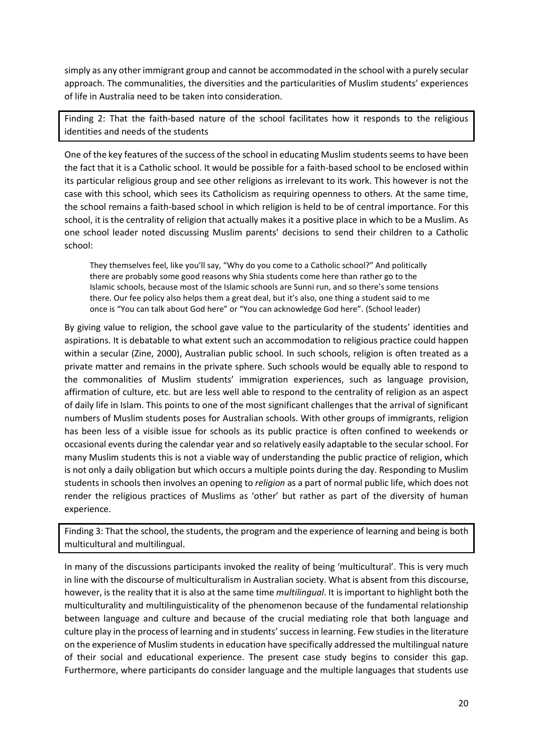simply as any other immigrant group and cannot be accommodated in the school with a purely secular approach. The communalities, the diversities and the particularities of Muslim students' experiences of life in Australia need to be taken into consideration.

Finding 2: That the faith-based nature of the school facilitates how it responds to the religious identities and needs of the students

One of the key features of the success of the school in educating Muslim students seems to have been the fact that it is a Catholic school. It would be possible for a faith-based school to be enclosed within its particular religious group and see other religions as irrelevant to its work. This however is not the case with this school, which sees its Catholicism as requiring openness to others. At the same time, the school remains a faith-based school in which religion is held to be of central importance. For this school, it is the centrality of religion that actually makes it a positive place in which to be a Muslim. As one school leader noted discussing Muslim parents' decisions to send their children to a Catholic school:

They themselves feel, like you'll say, "Why do you come to a Catholic school?" And politically there are probably some good reasons why Shia students come here than rather go to the Islamic schools, because most of the Islamic schools are Sunni run, and so there's some tensions there. Our fee policy also helps them a great deal, but it's also, one thing a student said to me once is "You can talk about God here" or "You can acknowledge God here". (School leader)

By giving value to religion, the school gave value to the particularity of the students' identities and aspirations. It is debatable to what extent such an accommodation to religious practice could happen within a secular (Zine, 2000), Australian public school. In such schools, religion is often treated as a private matter and remains in the private sphere. Such schools would be equally able to respond to the commonalities of Muslim students' immigration experiences, such as language provision, affirmation of culture, etc. but are less well able to respond to the centrality of religion as an aspect of daily life in Islam. This points to one of the most significant challenges that the arrival of significant numbers of Muslim students poses for Australian schools. With other groups of immigrants, religion has been less of a visible issue for schools as its public practice is often confined to weekends or occasional events during the calendar year and so relatively easily adaptable to the secular school. For many Muslim students this is not a viable way of understanding the public practice of religion, which is not only a daily obligation but which occurs a multiple points during the day. Responding to Muslim students in schools then involves an opening to *religion* as a part of normal public life, which does not render the religious practices of Muslims as 'other' but rather as part of the diversity of human experience.

Finding 3: That the school, the students, the program and the experience of learning and being is both multicultural and multilingual.

In many of the discussions participants invoked the reality of being 'multicultural'. This is very much in line with the discourse of multiculturalism in Australian society. What is absent from this discourse, however, is the reality that it is also at the same time *multilingual*. It is important to highlight both the multiculturality and multilinguisticality of the phenomenon because of the fundamental relationship between language and culture and because of the crucial mediating role that both language and culture play in the process of learning and in students' success in learning. Few studies in the literature on the experience of Muslim students in education have specifically addressed the multilingual nature of their social and educational experience. The present case study begins to consider this gap. Furthermore, where participants do consider language and the multiple languages that students use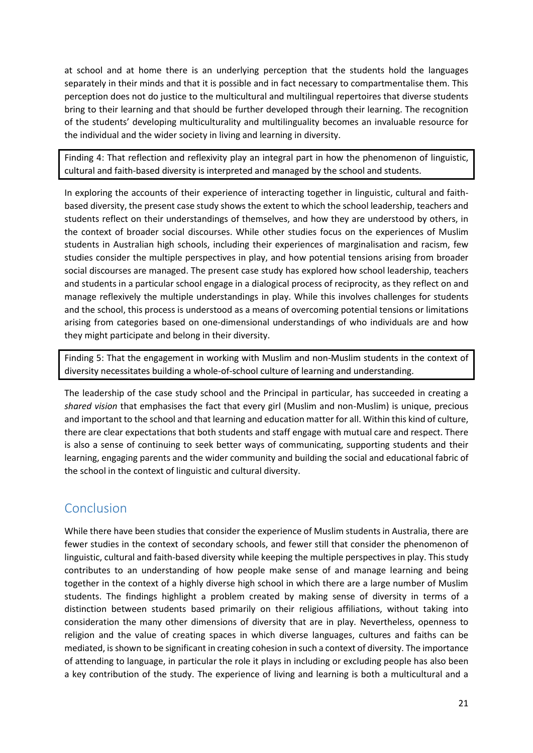at school and at home there is an underlying perception that the students hold the languages separately in their minds and that it is possible and in fact necessary to compartmentalise them. This perception does not do justice to the multicultural and multilingual repertoires that diverse students bring to their learning and that should be further developed through their learning. The recognition of the students' developing multiculturality and multilinguality becomes an invaluable resource for the individual and the wider society in living and learning in diversity.

Finding 4: That reflection and reflexivity play an integral part in how the phenomenon of linguistic, cultural and faith-based diversity is interpreted and managed by the school and students.

In exploring the accounts of their experience of interacting together in linguistic, cultural and faithbased diversity, the present case study shows the extent to which the school leadership, teachers and students reflect on their understandings of themselves, and how they are understood by others, in the context of broader social discourses. While other studies focus on the experiences of Muslim students in Australian high schools, including their experiences of marginalisation and racism, few studies consider the multiple perspectives in play, and how potential tensions arising from broader social discourses are managed. The present case study has explored how school leadership, teachers and students in a particular school engage in a dialogical process of reciprocity, as they reflect on and manage reflexively the multiple understandings in play. While this involves challenges for students and the school, this process is understood as a means of overcoming potential tensions or limitations arising from categories based on one-dimensional understandings of who individuals are and how they might participate and belong in their diversity.

Finding 5: That the engagement in working with Muslim and non-Muslim students in the context of diversity necessitates building a whole-of-school culture of learning and understanding.

The leadership of the case study school and the Principal in particular, has succeeded in creating a *shared vision* that emphasises the fact that every girl (Muslim and non-Muslim) is unique, precious and important to the school and that learning and education matter for all. Within this kind of culture, there are clear expectations that both students and staff engage with mutual care and respect. There is also a sense of continuing to seek better ways of communicating, supporting students and their learning, engaging parents and the wider community and building the social and educational fabric of the school in the context of linguistic and cultural diversity.

#### <span id="page-24-0"></span>Conclusion

While there have been studies that consider the experience of Muslim students in Australia, there are fewer studies in the context of secondary schools, and fewer still that consider the phenomenon of linguistic, cultural and faith-based diversity while keeping the multiple perspectives in play. This study contributes to an understanding of how people make sense of and manage learning and being together in the context of a highly diverse high school in which there are a large number of Muslim students. The findings highlight a problem created by making sense of diversity in terms of a distinction between students based primarily on their religious affiliations, without taking into consideration the many other dimensions of diversity that are in play. Nevertheless, openness to religion and the value of creating spaces in which diverse languages, cultures and faiths can be mediated, is shown to be significant in creating cohesion in such a context of diversity. The importance of attending to language, in particular the role it plays in including or excluding people has also been a key contribution of the study. The experience of living and learning is both a multicultural and a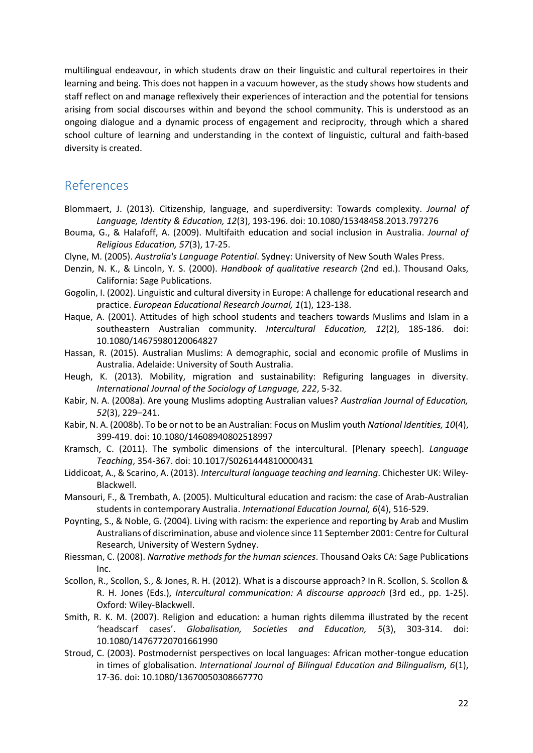multilingual endeavour, in which students draw on their linguistic and cultural repertoires in their learning and being. This does not happen in a vacuum however, as the study shows how students and staff reflect on and manage reflexively their experiences of interaction and the potential for tensions arising from social discourses within and beyond the school community. This is understood as an ongoing dialogue and a dynamic process of engagement and reciprocity, through which a shared school culture of learning and understanding in the context of linguistic, cultural and faith-based diversity is created.

#### <span id="page-25-0"></span>References

- Blommaert, J. (2013). Citizenship, language, and superdiversity: Towards complexity. *Journal of Language, Identity & Education, 12*(3), 193-196. doi: 10.1080/15348458.2013.797276
- Bouma, G., & Halafoff, A. (2009). Multifaith education and social inclusion in Australia. *Journal of Religious Education, 57*(3), 17-25.
- Clyne, M. (2005). *Australia's Language Potential*. Sydney: University of New South Wales Press.
- Denzin, N. K., & Lincoln, Y. S. (2000). *Handbook of qualitative research* (2nd ed.). Thousand Oaks, California: Sage Publications.
- Gogolin, I. (2002). Linguistic and cultural diversity in Europe: A challenge for educational research and practice. *European Educational Research Journal, 1*(1), 123-138.
- Haque, A. (2001). Attitudes of high school students and teachers towards Muslims and Islam in a southeastern Australian community. *Intercultural Education, 12*(2), 185-186. doi: 10.1080/14675980120064827
- Hassan, R. (2015). Australian Muslims: A demographic, social and economic profile of Muslims in Australia. Adelaide: University of South Australia.
- Heugh, K. (2013). Mobility, migration and sustainability: Refiguring languages in diversity. *International Journal of the Sociology of Language, 222*, 5-32.
- Kabir, N. A. (2008a). Are young Muslims adopting Australian values? *Australian Journal of Education, 52*(3), 229–241.
- Kabir, N. A. (2008b). To be or not to be an Australian: Focus on Muslim youth *National Identities, 10*(4), 399-419. doi: 10.1080/14608940802518997
- Kramsch, C. (2011). The symbolic dimensions of the intercultural. [Plenary speech]. *Language Teaching*, 354-367. doi: 10.1017/S0261444810000431
- Liddicoat, A., & Scarino, A. (2013). *Intercultural language teaching and learning*. Chichester UK: Wiley-Blackwell.
- Mansouri, F., & Trembath, A. (2005). Multicultural education and racism: the case of Arab-Australian students in contemporary Australia. *International Education Journal, 6*(4), 516-529.
- Poynting, S., & Noble, G. (2004). Living with racism: the experience and reporting by Arab and Muslim Australians of discrimination, abuse and violence since 11 September 2001: Centre for Cultural Research, University of Western Sydney.
- Riessman, C. (2008). *Narrative methods for the human sciences*. Thousand Oaks CA: Sage Publications Inc.
- Scollon, R., Scollon, S., & Jones, R. H. (2012). What is a discourse approach? In R. Scollon, S. Scollon & R. H. Jones (Eds.), *Intercultural communication: A discourse approach* (3rd ed., pp. 1-25). Oxford: Wiley-Blackwell.
- Smith, R. K. M. (2007). Religion and education: a human rights dilemma illustrated by the recent 'headscarf cases'. *Globalisation, Societies and Education, 5*(3), 303-314. doi: 10.1080/14767720701661990
- Stroud, C. (2003). Postmodernist perspectives on local languages: African mother-tongue education in times of globalisation. *International Journal of Bilingual Education and Bilingualism, 6*(1), 17-36. doi: 10.1080/13670050308667770